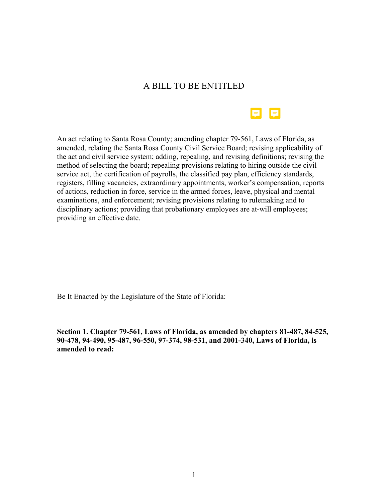# A BILL TO BE ENTITLED



An act relating to Santa Rosa County; amending chapter 79-561, Laws of Florida, as amended, relating the Santa Rosa County Civil Service Board; revising applicability of the act and civil service system; adding, repealing, and revising definitions; revising the method of selecting the board; repealing provisions relating to hiring outside the civil service act, the certification of payrolls, the classified pay plan, efficiency standards, registers, filling vacancies, extraordinary appointments, worker's compensation, reports of actions, reduction in force, service in the armed forces, leave, physical and mental examinations, and enforcement; revising provisions relating to rulemaking and to disciplinary actions; providing that probationary employees are at-will employees; providing an effective date.

Be It Enacted by the Legislature of the State of Florida:

**Section 1. Chapter 79-561, Laws of Florida, as amended by chapters 81-487, 84-525, 90-478, 94-490, 95-487, 96-550, 97-374, 98-531, and 2001-340, Laws of Florida, is amended to read:**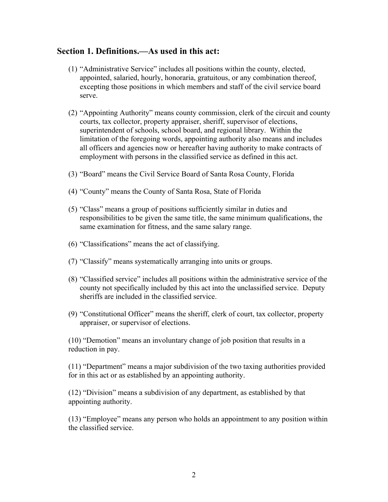#### **Section 1. Definitions.—As used in this act:**

- (1) "Administrative Service" includes all positions within the county, elected, appointed, salaried, hourly, honoraria, gratuitous, or any combination thereof, excepting those positions in which members and staff of the civil service board serve.
- (2) "Appointing Authority" means county commission, clerk of the circuit and county courts, tax collector, property appraiser, sheriff, supervisor of elections, superintendent of schools, school board, and regional library. Within the limitation of the foregoing words, appointing authority also means and includes all officers and agencies now or hereafter having authority to make contracts of employment with persons in the classified service as defined in this act.
- (3) "Board" means the Civil Service Board of Santa Rosa County, Florida
- (4) "County" means the County of Santa Rosa, State of Florida
- (5) "Class" means a group of positions sufficiently similar in duties and responsibilities to be given the same title, the same minimum qualifications, the same examination for fitness, and the same salary range.
- (6) "Classifications" means the act of classifying.
- (7) "Classify" means systematically arranging into units or groups.
- (8) "Classified service" includes all positions within the administrative service of the county not specifically included by this act into the unclassified service. Deputy sheriffs are included in the classified service.
- (9) "Constitutional Officer" means the sheriff, clerk of court, tax collector, property appraiser, or supervisor of elections.

(10) "Demotion" means an involuntary change of job position that results in a reduction in pay.

(11) "Department" means a major subdivision of the two taxing authorities provided for in this act or as established by an appointing authority.

(12) "Division" means a subdivision of any department, as established by that appointing authority.

(13) "Employee" means any person who holds an appointment to any position within the classified service.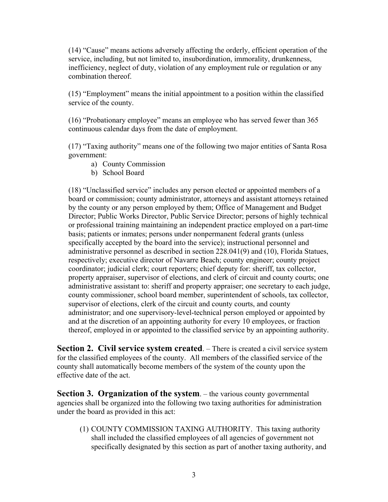(14) "Cause" means actions adversely affecting the orderly, efficient operation of the service, including, but not limited to, insubordination, immorality, drunkenness, inefficiency, neglect of duty, violation of any employment rule or regulation or any combination thereof.

(15) "Employment" means the initial appointment to a position within the classified service of the county.

(16) "Probationary employee" means an employee who has served fewer than 365 continuous calendar days from the date of employment.

(17) "Taxing authority" means one of the following two major entities of Santa Rosa government:

- a) County Commission
- b) School Board

(18) "Unclassified service" includes any person elected or appointed members of a board or commission; county administrator, attorneys and assistant attorneys retained by the county or any person employed by them; Office of Management and Budget Director; Public Works Director, Public Service Director; persons of highly technical or professional training maintaining an independent practice employed on a part-time basis; patients or inmates; persons under nonpermanent federal grants (unless specifically accepted by the board into the service); instructional personnel and administrative personnel as described in section 228.041(9) and (10), Florida Statues, respectively; executive director of Navarre Beach; county engineer; county project coordinator; judicial clerk; court reporters; chief deputy for: sheriff, tax collector, property appraiser, supervisor of elections, and clerk of circuit and county courts; one administrative assistant to: sheriff and property appraiser; one secretary to each judge, county commissioner, school board member, superintendent of schools, tax collector, supervisor of elections, clerk of the circuit and county courts, and county administrator; and one supervisory-level-technical person employed or appointed by and at the discretion of an appointing authority for every 10 employees, or fraction thereof, employed in or appointed to the classified service by an appointing authority.

**Section 2. Civil service system created.** – There is created a civil service system for the classified employees of the county. All members of the classified service of the county shall automatically become members of the system of the county upon the effective date of the act.

**Section 3. Organization of the system.** – the various county governmental agencies shall be organized into the following two taxing authorities for administration under the board as provided in this act:

(1) COUNTY COMMISSION TAXING AUTHORITY. This taxing authority shall included the classified employees of all agencies of government not specifically designated by this section as part of another taxing authority, and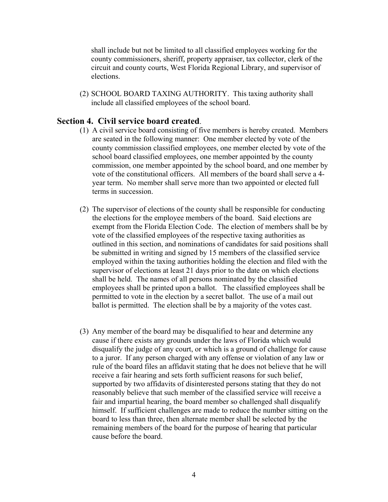shall include but not be limited to all classified employees working for the county commissioners, sheriff, property appraiser, tax collector, clerk of the circuit and county courts, West Florida Regional Library, and supervisor of elections.

(2) SCHOOL BOARD TAXING AUTHORITY. This taxing authority shall include all classified employees of the school board.

#### **Section 4. Civil service board created**.

- (1) A civil service board consisting of five members is hereby created. Members are seated in the following manner: One member elected by vote of the county commission classified employees, one member elected by vote of the school board classified employees, one member appointed by the county commission, one member appointed by the school board, and one member by vote of the constitutional officers. All members of the board shall serve a 4 year term. No member shall serve more than two appointed or elected full terms in succession.
- (2) The supervisor of elections of the county shall be responsible for conducting the elections for the employee members of the board. Said elections are exempt from the Florida Election Code. The election of members shall be by vote of the classified employees of the respective taxing authorities as outlined in this section, and nominations of candidates for said positions shall be submitted in writing and signed by 15 members of the classified service employed within the taxing authorities holding the election and filed with the supervisor of elections at least 21 days prior to the date on which elections shall be held. The names of all persons nominated by the classified employees shall be printed upon a ballot. The classified employees shall be permitted to vote in the election by a secret ballot. The use of a mail out ballot is permitted. The election shall be by a majority of the votes cast.
- (3) Any member of the board may be disqualified to hear and determine any cause if there exists any grounds under the laws of Florida which would disqualify the judge of any court, or which is a ground of challenge for cause to a juror. If any person charged with any offense or violation of any law or rule of the board files an affidavit stating that he does not believe that he will receive a fair hearing and sets forth sufficient reasons for such belief, supported by two affidavits of disinterested persons stating that they do not reasonably believe that such member of the classified service will receive a fair and impartial hearing, the board member so challenged shall disqualify himself. If sufficient challenges are made to reduce the number sitting on the board to less than three, then alternate member shall be selected by the remaining members of the board for the purpose of hearing that particular cause before the board.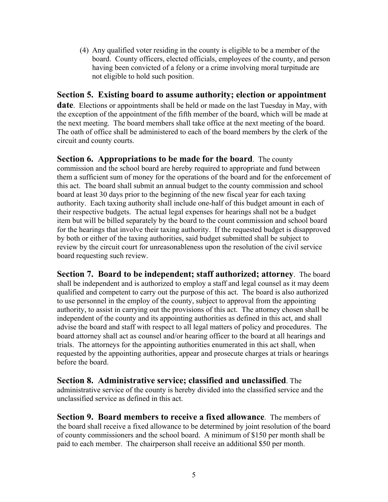(4) Any qualified voter residing in the county is eligible to be a member of the board. County officers, elected officials, employees of the county, and person having been convicted of a felony or a crime involving moral turpitude are not eligible to hold such position.

# **Section 5. Existing board to assume authority; election or appointment**

**date**. Elections or appointments shall be held or made on the last Tuesday in May, with the exception of the appointment of the fifth member of the board, which will be made at the next meeting. The board members shall take office at the next meeting of the board. The oath of office shall be administered to each of the board members by the clerk of the circuit and county courts.

**Section 6. Appropriations to be made for the board**. The county commission and the school board are hereby required to appropriate and fund between them a sufficient sum of money for the operations of the board and for the enforcement of this act. The board shall submit an annual budget to the county commission and school board at least 30 days prior to the beginning of the new fiscal year for each taxing authority. Each taxing authority shall include one-half of this budget amount in each of their respective budgets. The actual legal expenses for hearings shall not be a budget item but will be billed separately by the board to the count commission and school board for the hearings that involve their taxing authority. If the requested budget is disapproved by both or either of the taxing authorities, said budget submitted shall be subject to review by the circuit court for unreasonableness upon the resolution of the civil service board requesting such review.

**Section 7. Board to be independent; staff authorized; attorney**. The board shall be independent and is authorized to employ a staff and legal counsel as it may deem qualified and competent to carry out the purpose of this act. The board is also authorized to use personnel in the employ of the county, subject to approval from the appointing authority, to assist in carrying out the provisions of this act. The attorney chosen shall be independent of the county and its appointing authorities as defined in this act, and shall advise the board and staff with respect to all legal matters of policy and procedures. The board attorney shall act as counsel and/or hearing officer to the board at all hearings and trials. The attorneys for the appointing authorities enumerated in this act shall, when requested by the appointing authorities, appear and prosecute charges at trials or hearings before the board.

### **Section 8. Administrative service; classified and unclassified**. The administrative service of the county is hereby divided into the classified service and the unclassified service as defined in this act.

**Section 9. Board members to receive a fixed allowance**. The members of the board shall receive a fixed allowance to be determined by joint resolution of the board of county commissioners and the school board. A minimum of \$150 per month shall be paid to each member. The chairperson shall receive an additional \$50 per month.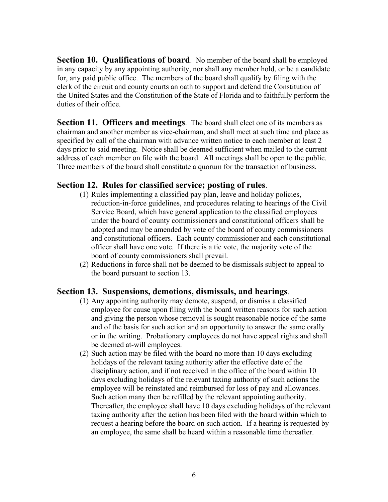**Section 10. Qualifications of board**. No member of the board shall be employed in any capacity by any appointing authority, nor shall any member hold, or be a candidate for, any paid public office. The members of the board shall qualify by filing with the clerk of the circuit and county courts an oath to support and defend the Constitution of the United States and the Constitution of the State of Florida and to faithfully perform the duties of their office.

**Section 11. Officers and meetings**. The board shall elect one of its members as chairman and another member as vice-chairman, and shall meet at such time and place as specified by call of the chairman with advance written notice to each member at least 2 days prior to said meeting. Notice shall be deemed sufficient when mailed to the current address of each member on file with the board. All meetings shall be open to the public. Three members of the board shall constitute a quorum for the transaction of business.

### **Section 12. Rules for classified service; posting of rules**.

- (1) Rules implementing a classified pay plan, leave and holiday policies, reduction-in-force guidelines, and procedures relating to hearings of the Civil Service Board, which have general application to the classified employees under the board of county commissioners and constitutional officers shall be adopted and may be amended by vote of the board of county commissioners and constitutional officers. Each county commissioner and each constitutional officer shall have one vote. If there is a tie vote, the majority vote of the board of county commissioners shall prevail.
- (2) Reductions in force shall not be deemed to be dismissals subject to appeal to the board pursuant to section 13.

### **Section 13. Suspensions, demotions, dismissals, and hearings**.

- (1) Any appointing authority may demote, suspend, or dismiss a classified employee for cause upon filing with the board written reasons for such action and giving the person whose removal is sought reasonable notice of the same and of the basis for such action and an opportunity to answer the same orally or in the writing. Probationary employees do not have appeal rights and shall be deemed at-will employees.
- (2) Such action may be filed with the board no more than 10 days excluding holidays of the relevant taxing authority after the effective date of the disciplinary action, and if not received in the office of the board within 10 days excluding holidays of the relevant taxing authority of such actions the employee will be reinstated and reimbursed for loss of pay and allowances. Such action many then be refilled by the relevant appointing authority. Thereafter, the employee shall have 10 days excluding holidays of the relevant taxing authority after the action has been filed with the board within which to request a hearing before the board on such action. If a hearing is requested by an employee, the same shall be heard within a reasonable time thereafter.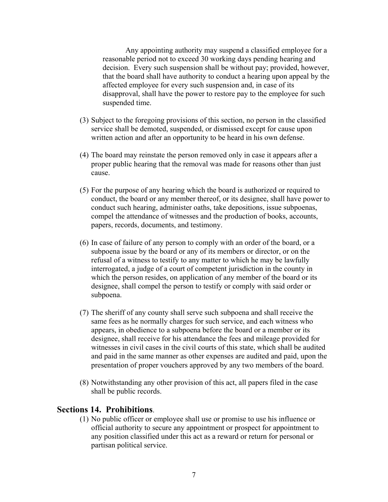Any appointing authority may suspend a classified employee for a reasonable period not to exceed 30 working days pending hearing and decision. Every such suspension shall be without pay; provided, however, that the board shall have authority to conduct a hearing upon appeal by the affected employee for every such suspension and, in case of its disapproval, shall have the power to restore pay to the employee for such suspended time.

- (3) Subject to the foregoing provisions of this section, no person in the classified service shall be demoted, suspended, or dismissed except for cause upon written action and after an opportunity to be heard in his own defense.
- (4) The board may reinstate the person removed only in case it appears after a proper public hearing that the removal was made for reasons other than just cause.
- (5) For the purpose of any hearing which the board is authorized or required to conduct, the board or any member thereof, or its designee, shall have power to conduct such hearing, administer oaths, take depositions, issue subpoenas, compel the attendance of witnesses and the production of books, accounts, papers, records, documents, and testimony.
- (6) In case of failure of any person to comply with an order of the board, or a subpoena issue by the board or any of its members or director, or on the refusal of a witness to testify to any matter to which he may be lawfully interrogated, a judge of a court of competent jurisdiction in the county in which the person resides, on application of any member of the board or its designee, shall compel the person to testify or comply with said order or subpoena.
- (7) The sheriff of any county shall serve such subpoena and shall receive the same fees as he normally charges for such service, and each witness who appears, in obedience to a subpoena before the board or a member or its designee, shall receive for his attendance the fees and mileage provided for witnesses in civil cases in the civil courts of this state, which shall be audited and paid in the same manner as other expenses are audited and paid, upon the presentation of proper vouchers approved by any two members of the board.
- (8) Notwithstanding any other provision of this act, all papers filed in the case shall be public records.

#### **Sections 14. Prohibitions**.

(1) No public officer or employee shall use or promise to use his influence or official authority to secure any appointment or prospect for appointment to any position classified under this act as a reward or return for personal or partisan political service.